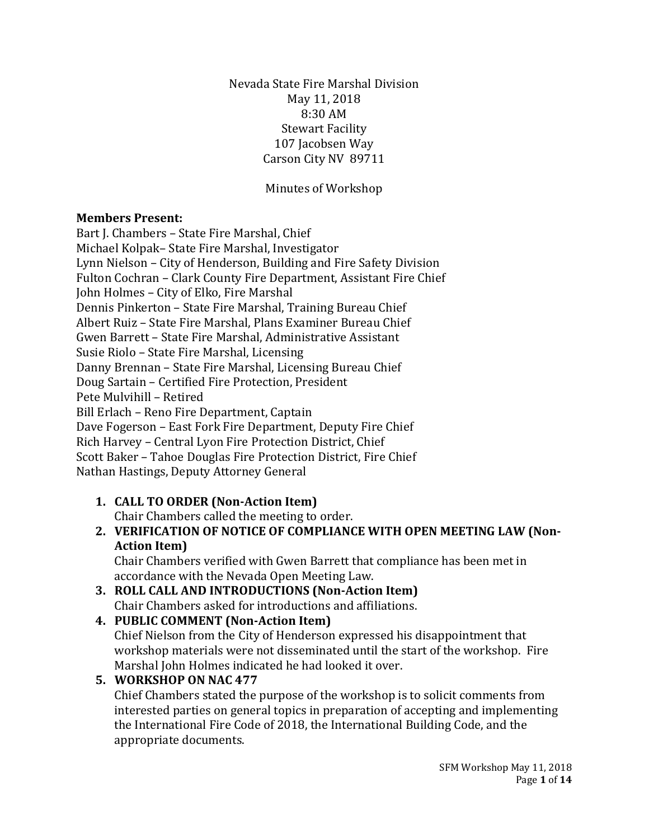Nevada State Fire Marshal Division May 11, 2018 8:30 AM Stewart Facility 107 Jacobsen Way Carson City NV 89711

Minutes of Workshop

### **Members Present:**

Bart J. Chambers – State Fire Marshal, Chief Michael Kolpak– State Fire Marshal, Investigator Lynn Nielson – City of Henderson, Building and Fire Safety Division Fulton Cochran – Clark County Fire Department, Assistant Fire Chief John Holmes – City of Elko, Fire Marshal Dennis Pinkerton – State Fire Marshal, Training Bureau Chief Albert Ruiz – State Fire Marshal, Plans Examiner Bureau Chief Gwen Barrett – State Fire Marshal, Administrative Assistant Susie Riolo – State Fire Marshal, Licensing Danny Brennan – State Fire Marshal, Licensing Bureau Chief Doug Sartain – Certified Fire Protection, President Pete Mulvihill – Retired Bill Erlach – Reno Fire Department, Captain Dave Fogerson – East Fork Fire Department, Deputy Fire Chief Rich Harvey – Central Lyon Fire Protection District, Chief Scott Baker – Tahoe Douglas Fire Protection District, Fire Chief Nathan Hastings, Deputy Attorney General

**1. CALL TO ORDER (Non-Action Item)**

Chair Chambers called the meeting to order.

**2. VERIFICATION OF NOTICE OF COMPLIANCE WITH OPEN MEETING LAW (Non-Action Item)**

Chair Chambers verified with Gwen Barrett that compliance has been met in accordance with the Nevada Open Meeting Law.

**3. ROLL CALL AND INTRODUCTIONS (Non-Action Item)** Chair Chambers asked for introductions and affiliations.

# **4. PUBLIC COMMENT (Non-Action Item)**

Chief Nielson from the City of Henderson expressed his disappointment that workshop materials were not disseminated until the start of the workshop. Fire Marshal John Holmes indicated he had looked it over.

**5. WORKSHOP ON NAC 477**

Chief Chambers stated the purpose of the workshop is to solicit comments from interested parties on general topics in preparation of accepting and implementing the International Fire Code of 2018, the International Building Code, and the appropriate documents.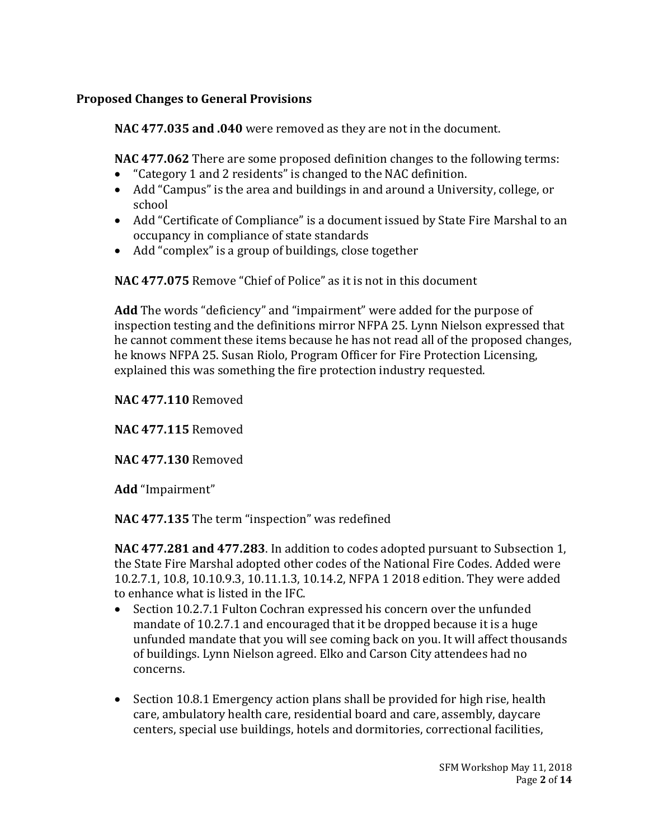## **Proposed Changes to General Provisions**

**NAC 477.035 and .040** were removed as they are not in the document.

**NAC 477.062** There are some proposed definition changes to the following terms:

- "Category 1 and 2 residents" is changed to the NAC definition.
- Add "Campus" is the area and buildings in and around a University, college, or school
- Add "Certificate of Compliance" is a document issued by State Fire Marshal to an occupancy in compliance of state standards
- Add "complex" is a group of buildings, close together

**NAC 477.075** Remove "Chief of Police" as it is not in this document

**Add** The words "deficiency" and "impairment" were added for the purpose of inspection testing and the definitions mirror NFPA 25. Lynn Nielson expressed that he cannot comment these items because he has not read all of the proposed changes, he knows NFPA 25. Susan Riolo, Program Officer for Fire Protection Licensing, explained this was something the fire protection industry requested.

**NAC 477.110** Removed

**NAC 477.115** Removed

**NAC 477.130** Removed

**Add** "Impairment"

**NAC 477.135** The term "inspection" was redefined

**NAC 477.281 and 477.283**. In addition to codes adopted pursuant to Subsection 1, the State Fire Marshal adopted other codes of the National Fire Codes. Added were 10.2.7.1, 10.8, 10.10.9.3, 10.11.1.3, 10.14.2, NFPA 1 2018 edition. They were added to enhance what is listed in the IFC.

- Section 10.2.7.1 Fulton Cochran expressed his concern over the unfunded mandate of 10.2.7.1 and encouraged that it be dropped because it is a huge unfunded mandate that you will see coming back on you. It will affect thousands of buildings. Lynn Nielson agreed. Elko and Carson City attendees had no concerns.
- Section 10.8.1 Emergency action plans shall be provided for high rise, health care, ambulatory health care, residential board and care, assembly, daycare centers, special use buildings, hotels and dormitories, correctional facilities,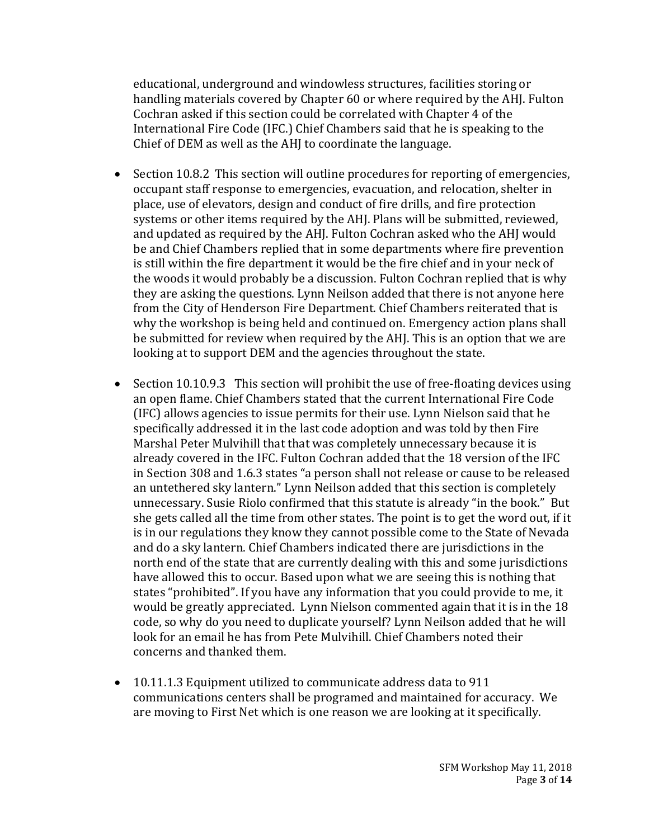educational, underground and windowless structures, facilities storing or handling materials covered by Chapter 60 or where required by the AHJ. Fulton Cochran asked if this section could be correlated with Chapter 4 of the International Fire Code (IFC.) Chief Chambers said that he is speaking to the Chief of DEM as well as the AHJ to coordinate the language.

- Section 10.8.2 This section will outline procedures for reporting of emergencies, occupant staff response to emergencies, evacuation, and relocation, shelter in place, use of elevators, design and conduct of fire drills, and fire protection systems or other items required by the AHJ. Plans will be submitted, reviewed, and updated as required by the AHJ. Fulton Cochran asked who the AHJ would be and Chief Chambers replied that in some departments where fire prevention is still within the fire department it would be the fire chief and in your neck of the woods it would probably be a discussion. Fulton Cochran replied that is why they are asking the questions. Lynn Neilson added that there is not anyone here from the City of Henderson Fire Department. Chief Chambers reiterated that is why the workshop is being held and continued on. Emergency action plans shall be submitted for review when required by the AHJ. This is an option that we are looking at to support DEM and the agencies throughout the state.
- Section 10.10.9.3 This section will prohibit the use of free-floating devices using an open flame. Chief Chambers stated that the current International Fire Code (IFC) allows agencies to issue permits for their use. Lynn Nielson said that he specifically addressed it in the last code adoption and was told by then Fire Marshal Peter Mulvihill that that was completely unnecessary because it is already covered in the IFC. Fulton Cochran added that the 18 version of the IFC in Section 308 and 1.6.3 states "a person shall not release or cause to be released an untethered sky lantern." Lynn Neilson added that this section is completely unnecessary. Susie Riolo confirmed that this statute is already "in the book." But she gets called all the time from other states. The point is to get the word out, if it is in our regulations they know they cannot possible come to the State of Nevada and do a sky lantern. Chief Chambers indicated there are jurisdictions in the north end of the state that are currently dealing with this and some jurisdictions have allowed this to occur. Based upon what we are seeing this is nothing that states "prohibited". If you have any information that you could provide to me, it would be greatly appreciated. Lynn Nielson commented again that it is in the 18 code, so why do you need to duplicate yourself? Lynn Neilson added that he will look for an email he has from Pete Mulvihill. Chief Chambers noted their concerns and thanked them.
- 10.11.1.3 Equipment utilized to communicate address data to 911 communications centers shall be programed and maintained for accuracy. We are moving to First Net which is one reason we are looking at it specifically.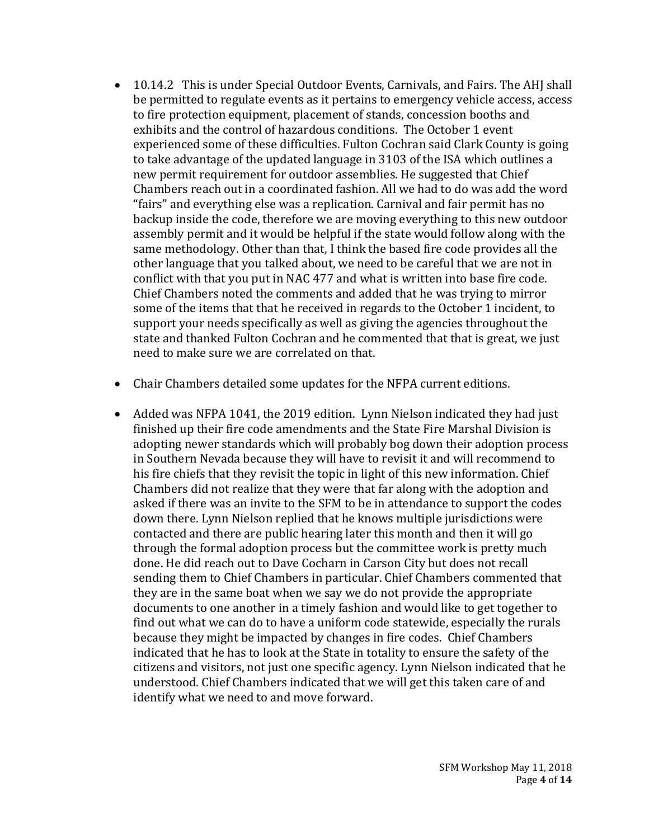- 10.14.2 This is under Special Outdoor Events, Carnivals, and Fairs. The AHJ shall be permitted to regulate events as it pertains to emergency vehicle access, access to fire protection equipment, placement of stands, concession booths and exhibits and the control of hazardous conditions. The October 1 event experienced some of these difficulties. Fulton Cochran said Clark County is going to take advantage of the updated language in 3103 of the ISA which outlines a new permit requirement for outdoor assemblies. He suggested that Chief Chambers reach out in a coordinated fashion. All we had to do was add the word "fairs" and everything else was a replication. Carnival and fair permit has no backup inside the code, therefore we are moving everything to this new outdoor assembly permit and it would be helpful if the state would follow along with the same methodology. Other than that, I think the based fire code provides all the other language that you talked about, we need to be careful that we are not in conflict with that you put in NAC 477 and what is written into base fire code. Chief Chambers noted the comments and added that he was trying to mirror some of the items that that he received in regards to the October 1 incident, to support your needs specifically as well as giving the agencies throughout the state and thanked Fulton Cochran and he commented that that is great, we just need to make sure we are correlated on that.
- Chair Chambers detailed some updates for the NFPA current editions.
- Added was NFPA 1041, the 2019 edition. Lynn Nielson indicated they had just finished up their fire code amendments and the State Fire Marshal Division is adopting newer standards which will probably bog down their adoption process in Southern Nevada because they will have to revisit it and will recommend to his fire chiefs that they revisit the topic in light of this new information. Chief Chambers did not realize that they were that far along with the adoption and asked if there was an invite to the SFM to be in attendance to support the codes down there. Lynn Nielson replied that he knows multiple jurisdictions were contacted and there are public hearing later this month and then it will go through the formal adoption process but the committee work is pretty much done. He did reach out to Dave Cocharn in Carson City but does not recall sending them to Chief Chambers in particular. Chief Chambers commented that they are in the same boat when we say we do not provide the appropriate documents to one another in a timely fashion and would like to get together to find out what we can do to have a uniform code statewide, especially the rurals because they might be impacted by changes in fire codes. Chief Chambers indicated that he has to look at the State in totality to ensure the safety of the citizens and visitors, not just one specific agency. Lynn Nielson indicated that he understood. Chief Chambers indicated that we will get this taken care of and identify what we need to and move forward.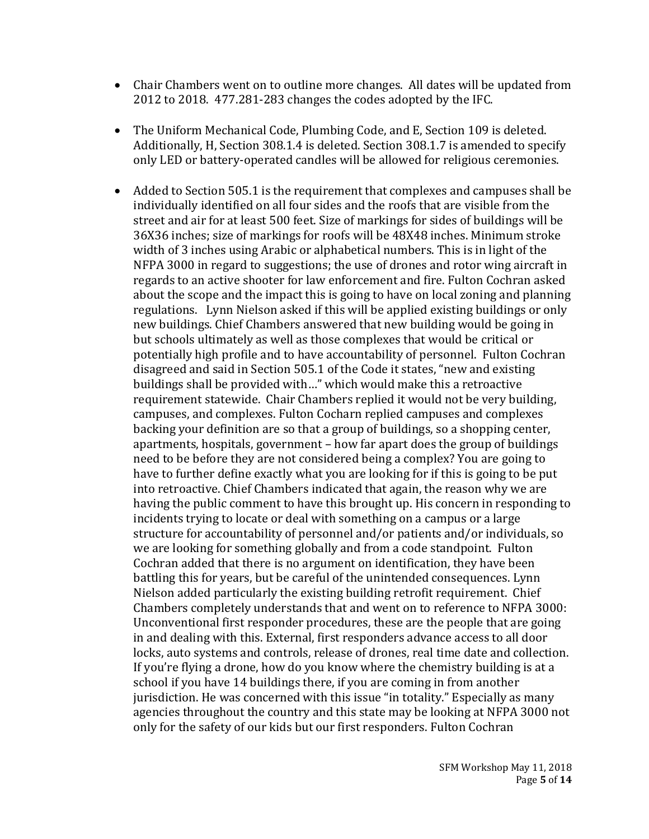- Chair Chambers went on to outline more changes. All dates will be updated from 2012 to 2018. 477.281-283 changes the codes adopted by the IFC.
- The Uniform Mechanical Code, Plumbing Code, and E, Section 109 is deleted. Additionally, H, Section 308.1.4 is deleted. Section 308.1.7 is amended to specify only LED or battery-operated candles will be allowed for religious ceremonies.
- Added to Section 505.1 is the requirement that complexes and campuses shall be individually identified on all four sides and the roofs that are visible from the street and air for at least 500 feet. Size of markings for sides of buildings will be 36X36 inches; size of markings for roofs will be 48X48 inches. Minimum stroke width of 3 inches using Arabic or alphabetical numbers. This is in light of the NFPA 3000 in regard to suggestions; the use of drones and rotor wing aircraft in regards to an active shooter for law enforcement and fire. Fulton Cochran asked about the scope and the impact this is going to have on local zoning and planning regulations. Lynn Nielson asked if this will be applied existing buildings or only new buildings. Chief Chambers answered that new building would be going in but schools ultimately as well as those complexes that would be critical or potentially high profile and to have accountability of personnel. Fulton Cochran disagreed and said in Section 505.1 of the Code it states, "new and existing buildings shall be provided with…" which would make this a retroactive requirement statewide. Chair Chambers replied it would not be very building, campuses, and complexes. Fulton Cocharn replied campuses and complexes backing your definition are so that a group of buildings, so a shopping center, apartments, hospitals, government – how far apart does the group of buildings need to be before they are not considered being a complex? You are going to have to further define exactly what you are looking for if this is going to be put into retroactive. Chief Chambers indicated that again, the reason why we are having the public comment to have this brought up. His concern in responding to incidents trying to locate or deal with something on a campus or a large structure for accountability of personnel and/or patients and/or individuals, so we are looking for something globally and from a code standpoint. Fulton Cochran added that there is no argument on identification, they have been battling this for years, but be careful of the unintended consequences. Lynn Nielson added particularly the existing building retrofit requirement. Chief Chambers completely understands that and went on to reference to NFPA 3000: Unconventional first responder procedures, these are the people that are going in and dealing with this. External, first responders advance access to all door locks, auto systems and controls, release of drones, real time date and collection. If you're flying a drone, how do you know where the chemistry building is at a school if you have 14 buildings there, if you are coming in from another jurisdiction. He was concerned with this issue "in totality." Especially as many agencies throughout the country and this state may be looking at NFPA 3000 not only for the safety of our kids but our first responders. Fulton Cochran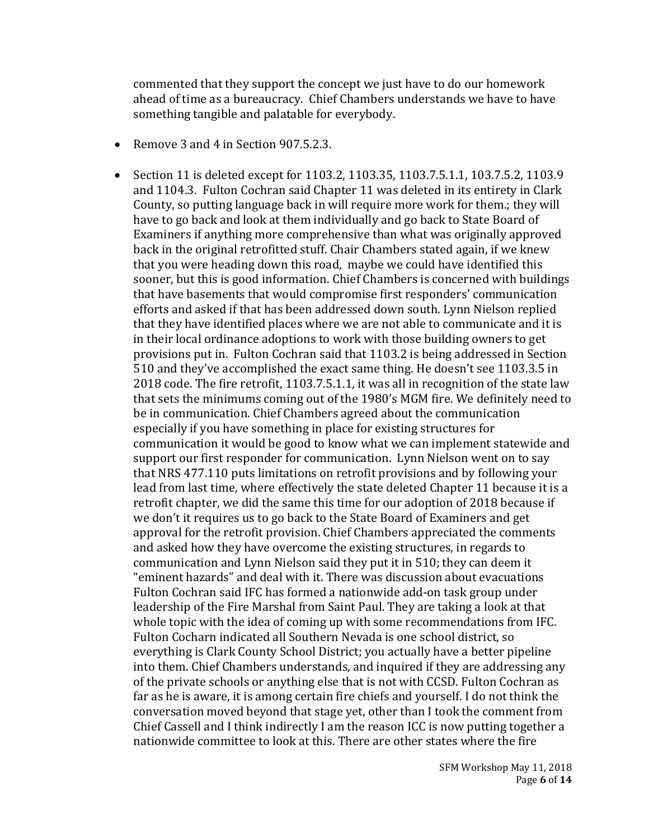commented that they support the concept we just have to do our homework ahead of time as a bureaucracy. Chief Chambers understands we have to have something tangible and palatable for everybody.

- Remove 3 and 4 in Section 907.5.2.3.
- Section 11 is deleted except for 1103.2, 1103.35, 1103.7.5.1.1, 103.7.5.2, 1103.9 and 1104.3. Fulton Cochran said Chapter 11 was deleted in its entirety in Clark County, so putting language back in will require more work for them.; they will have to go back and look at them individually and go back to State Board of Examiners if anything more comprehensive than what was originally approved back in the original retrofitted stuff. Chair Chambers stated again, if we knew that you were heading down this road, maybe we could have identified this sooner, but this is good information. Chief Chambers is concerned with buildings that have basements that would compromise first responders' communication efforts and asked if that has been addressed down south. Lynn Nielson replied that they have identified places where we are not able to communicate and it is in their local ordinance adoptions to work with those building owners to get provisions put in. Fulton Cochran said that 1103.2 is being addressed in Section 510 and they've accomplished the exact same thing. He doesn't see 1103.3.5 in 2018 code. The fire retrofit, 1103.7.5.1.1, it was all in recognition of the state law that sets the minimums coming out of the 1980's MGM fire. We definitely need to be in communication. Chief Chambers agreed about the communication especially if you have something in place for existing structures for communication it would be good to know what we can implement statewide and support our first responder for communication. Lynn Nielson went on to say that NRS 477.110 puts limitations on retrofit provisions and by following your lead from last time, where effectively the state deleted Chapter 11 because it is a retrofit chapter, we did the same this time for our adoption of 2018 because if we don't it requires us to go back to the State Board of Examiners and get approval for the retrofit provision. Chief Chambers appreciated the comments and asked how they have overcome the existing structures, in regards to communication and Lynn Nielson said they put it in 510; they can deem it "eminent hazards" and deal with it. There was discussion about evacuations Fulton Cochran said IFC has formed a nationwide add-on task group under leadership of the Fire Marshal from Saint Paul. They are taking a look at that whole topic with the idea of coming up with some recommendations from IFC. Fulton Cocharn indicated all Southern Nevada is one school district, so everything is Clark County School District; you actually have a better pipeline into them. Chief Chambers understands, and inquired if they are addressing any of the private schools or anything else that is not with CCSD. Fulton Cochran as far as he is aware, it is among certain fire chiefs and yourself. I do not think the conversation moved beyond that stage yet, other than I took the comment from Chief Cassell and I think indirectly I am the reason ICC is now putting together a nationwide committee to look at this. There are other states where the fire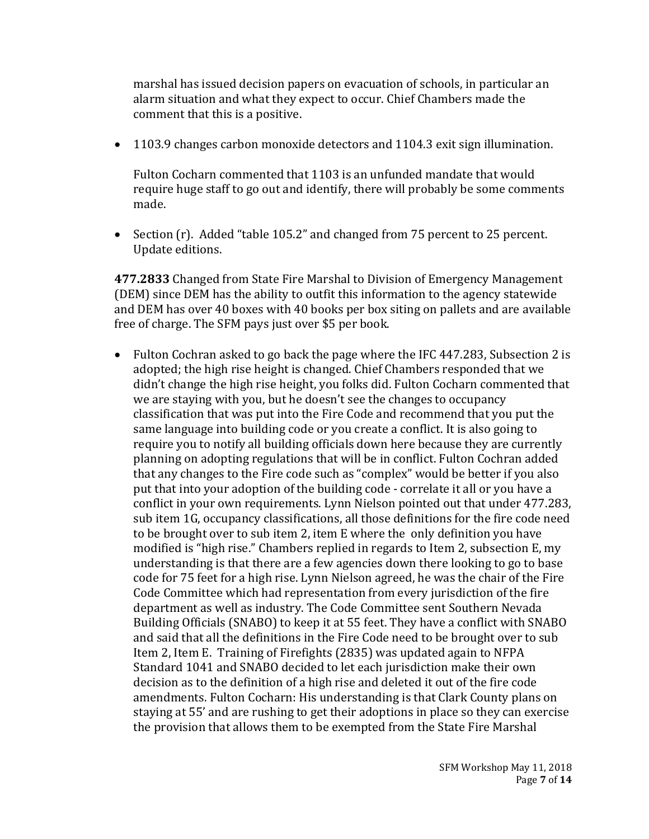marshal has issued decision papers on evacuation of schools, in particular an alarm situation and what they expect to occur. Chief Chambers made the comment that this is a positive.

• 1103.9 changes carbon monoxide detectors and 1104.3 exit sign illumination.

Fulton Cocharn commented that 1103 is an unfunded mandate that would require huge staff to go out and identify, there will probably be some comments made.

• Section (r). Added "table 105.2" and changed from 75 percent to 25 percent. Update editions.

**477.2833** Changed from State Fire Marshal to Division of Emergency Management (DEM) since DEM has the ability to outfit this information to the agency statewide and DEM has over 40 boxes with 40 books per box siting on pallets and are available free of charge. The SFM pays just over \$5 per book.

• Fulton Cochran asked to go back the page where the IFC 447.283, Subsection 2 is adopted; the high rise height is changed. Chief Chambers responded that we didn't change the high rise height, you folks did. Fulton Cocharn commented that we are staying with you, but he doesn't see the changes to occupancy classification that was put into the Fire Code and recommend that you put the same language into building code or you create a conflict. It is also going to require you to notify all building officials down here because they are currently planning on adopting regulations that will be in conflict. Fulton Cochran added that any changes to the Fire code such as "complex" would be better if you also put that into your adoption of the building code - correlate it all or you have a conflict in your own requirements. Lynn Nielson pointed out that under 477.283, sub item 1G, occupancy classifications, all those definitions for the fire code need to be brought over to sub item 2, item E where the only definition you have modified is "high rise." Chambers replied in regards to Item 2, subsection E, my understanding is that there are a few agencies down there looking to go to base code for 75 feet for a high rise. Lynn Nielson agreed, he was the chair of the Fire Code Committee which had representation from every jurisdiction of the fire department as well as industry. The Code Committee sent Southern Nevada Building Officials (SNABO) to keep it at 55 feet. They have a conflict with SNABO and said that all the definitions in the Fire Code need to be brought over to sub Item 2, Item E. Training of Firefights (2835) was updated again to NFPA Standard 1041 and SNABO decided to let each jurisdiction make their own decision as to the definition of a high rise and deleted it out of the fire code amendments. Fulton Cocharn: His understanding is that Clark County plans on staying at 55' and are rushing to get their adoptions in place so they can exercise the provision that allows them to be exempted from the State Fire Marshal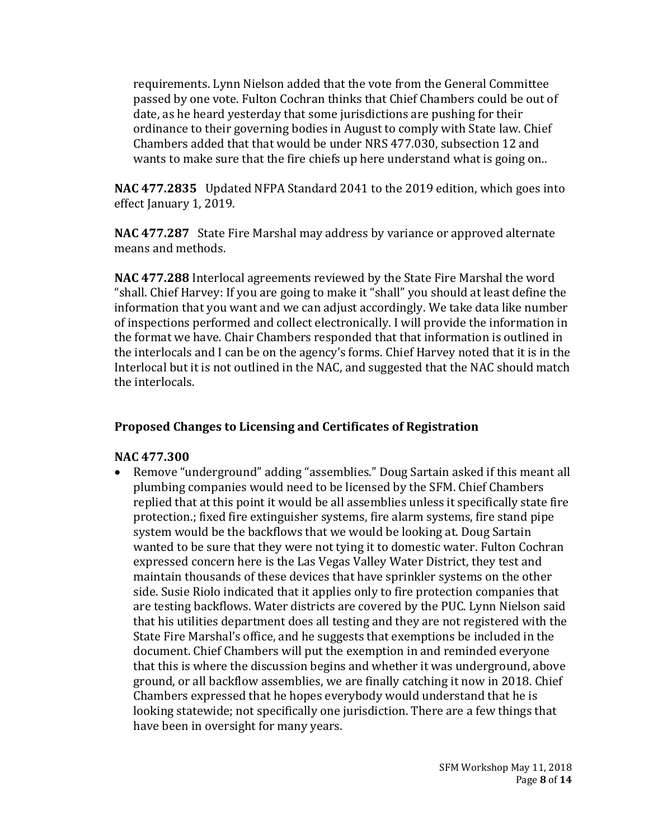requirements. Lynn Nielson added that the vote from the General Committee passed by one vote. Fulton Cochran thinks that Chief Chambers could be out of date, as he heard yesterday that some jurisdictions are pushing for their ordinance to their governing bodies in August to comply with State law. Chief Chambers added that that would be under NRS 477.030, subsection 12 and wants to make sure that the fire chiefs up here understand what is going on..

**NAC 477.2835** Updated NFPA Standard 2041 to the 2019 edition, which goes into effect January 1, 2019.

**NAC 477.287** State Fire Marshal may address by variance or approved alternate means and methods.

**NAC 477.288** Interlocal agreements reviewed by the State Fire Marshal the word "shall. Chief Harvey: If you are going to make it "shall" you should at least define the information that you want and we can adjust accordingly. We take data like number of inspections performed and collect electronically. I will provide the information in the format we have. Chair Chambers responded that that information is outlined in the interlocals and I can be on the agency's forms. Chief Harvey noted that it is in the Interlocal but it is not outlined in the NAC, and suggested that the NAC should match the interlocals.

#### **Proposed Changes to Licensing and Certificates of Registration**

#### **NAC 477.300**

• Remove "underground" adding "assemblies." Doug Sartain asked if this meant all plumbing companies would need to be licensed by the SFM. Chief Chambers replied that at this point it would be all assemblies unless it specifically state fire protection.; fixed fire extinguisher systems, fire alarm systems, fire stand pipe system would be the backflows that we would be looking at. Doug Sartain wanted to be sure that they were not tying it to domestic water. Fulton Cochran expressed concern here is the Las Vegas Valley Water District, they test and maintain thousands of these devices that have sprinkler systems on the other side. Susie Riolo indicated that it applies only to fire protection companies that are testing backflows. Water districts are covered by the PUC. Lynn Nielson said that his utilities department does all testing and they are not registered with the State Fire Marshal's office, and he suggests that exemptions be included in the document. Chief Chambers will put the exemption in and reminded everyone that this is where the discussion begins and whether it was underground, above ground, or all backflow assemblies, we are finally catching it now in 2018. Chief Chambers expressed that he hopes everybody would understand that he is looking statewide; not specifically one jurisdiction. There are a few things that have been in oversight for many years.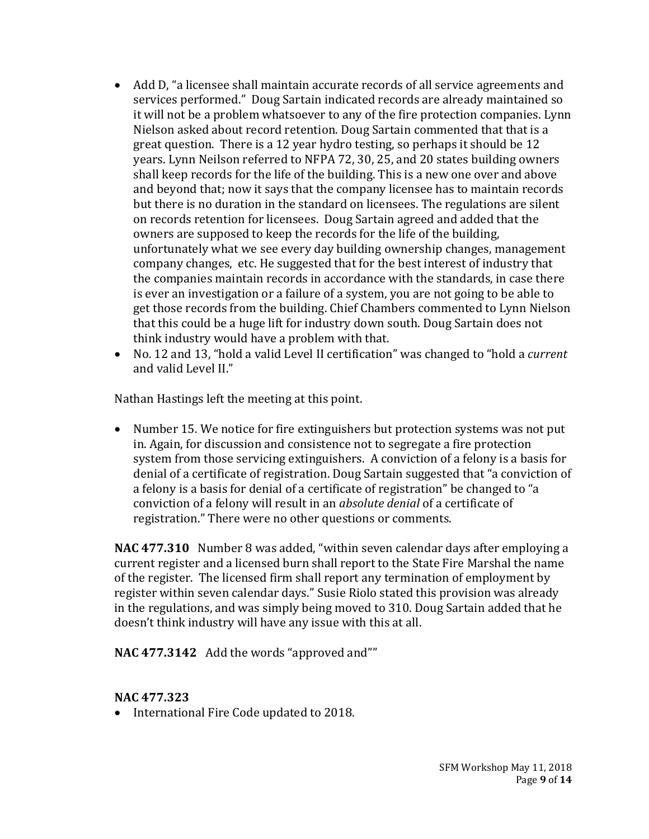- Add D, "a licensee shall maintain accurate records of all service agreements and services performed." Doug Sartain indicated records are already maintained so it will not be a problem whatsoever to any of the fire protection companies. Lynn Nielson asked about record retention. Doug Sartain commented that that is a great question. There is a 12 year hydro testing, so perhaps it should be 12 years. Lynn Neilson referred to NFPA 72, 30, 25, and 20 states building owners shall keep records for the life of the building. This is a new one over and above and beyond that; now it says that the company licensee has to maintain records but there is no duration in the standard on licensees. The regulations are silent on records retention for licensees. Doug Sartain agreed and added that the owners are supposed to keep the records for the life of the building, unfortunately what we see every day building ownership changes, management company changes, etc. He suggested that for the best interest of industry that the companies maintain records in accordance with the standards, in case there is ever an investigation or a failure of a system, you are not going to be able to get those records from the building. Chief Chambers commented to Lynn Nielson that this could be a huge lift for industry down south. Doug Sartain does not think industry would have a problem with that.
- No. 12 and 13, "hold a valid Level II certification" was changed to "hold a *current* and valid Level II."

Nathan Hastings left the meeting at this point.

• Number 15. We notice for fire extinguishers but protection systems was not put in. Again, for discussion and consistence not to segregate a fire protection system from those servicing extinguishers. A conviction of a felony is a basis for denial of a certificate of registration. Doug Sartain suggested that "a conviction of a felony is a basis for denial of a certificate of registration" be changed to "a conviction of a felony will result in an *absolute denial* of a certificate of registration." There were no other questions or comments.

**NAC 477.310** Number 8 was added, "within seven calendar days after employing a current register and a licensed burn shall report to the State Fire Marshal the name of the register. The licensed firm shall report any termination of employment by register within seven calendar days." Susie Riolo stated this provision was already in the regulations, and was simply being moved to 310. Doug Sartain added that he doesn't think industry will have any issue with this at all.

**NAC 477.3142** Add the words "approved and""

#### **NAC 477.323**

• International Fire Code updated to 2018.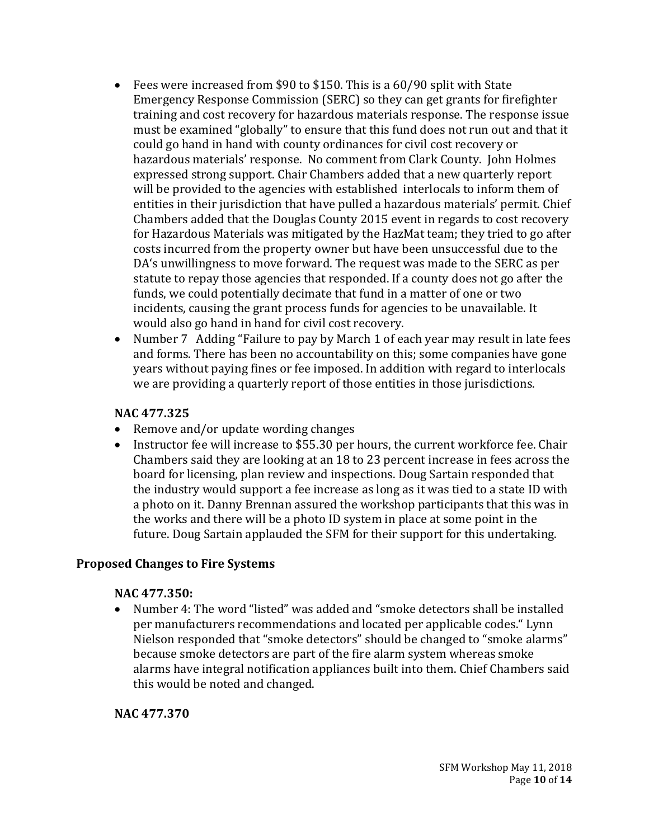- Fees were increased from \$90 to \$150. This is a 60/90 split with State Emergency Response Commission (SERC) so they can get grants for firefighter training and cost recovery for hazardous materials response. The response issue must be examined "globally" to ensure that this fund does not run out and that it could go hand in hand with county ordinances for civil cost recovery or hazardous materials' response. No comment from Clark County. John Holmes expressed strong support. Chair Chambers added that a new quarterly report will be provided to the agencies with established interlocals to inform them of entities in their jurisdiction that have pulled a hazardous materials' permit. Chief Chambers added that the Douglas County 2015 event in regards to cost recovery for Hazardous Materials was mitigated by the HazMat team; they tried to go after costs incurred from the property owner but have been unsuccessful due to the DA's unwillingness to move forward. The request was made to the SERC as per statute to repay those agencies that responded. If a county does not go after the funds, we could potentially decimate that fund in a matter of one or two incidents, causing the grant process funds for agencies to be unavailable. It would also go hand in hand for civil cost recovery.
- Number 7 Adding "Failure to pay by March 1 of each year may result in late fees and forms. There has been no accountability on this; some companies have gone years without paying fines or fee imposed. In addition with regard to interlocals we are providing a quarterly report of those entities in those jurisdictions.

#### **NAC 477.325**

- Remove and/or update wording changes
- Instructor fee will increase to \$55.30 per hours, the current workforce fee. Chair Chambers said they are looking at an 18 to 23 percent increase in fees across the board for licensing, plan review and inspections. Doug Sartain responded that the industry would support a fee increase as long as it was tied to a state ID with a photo on it. Danny Brennan assured the workshop participants that this was in the works and there will be a photo ID system in place at some point in the future. Doug Sartain applauded the SFM for their support for this undertaking.

# **Proposed Changes to Fire Systems**

#### **NAC 477.350:**

• Number 4: The word "listed" was added and "smoke detectors shall be installed per manufacturers recommendations and located per applicable codes." Lynn Nielson responded that "smoke detectors" should be changed to "smoke alarms" because smoke detectors are part of the fire alarm system whereas smoke alarms have integral notification appliances built into them. Chief Chambers said this would be noted and changed.

**NAC 477.370**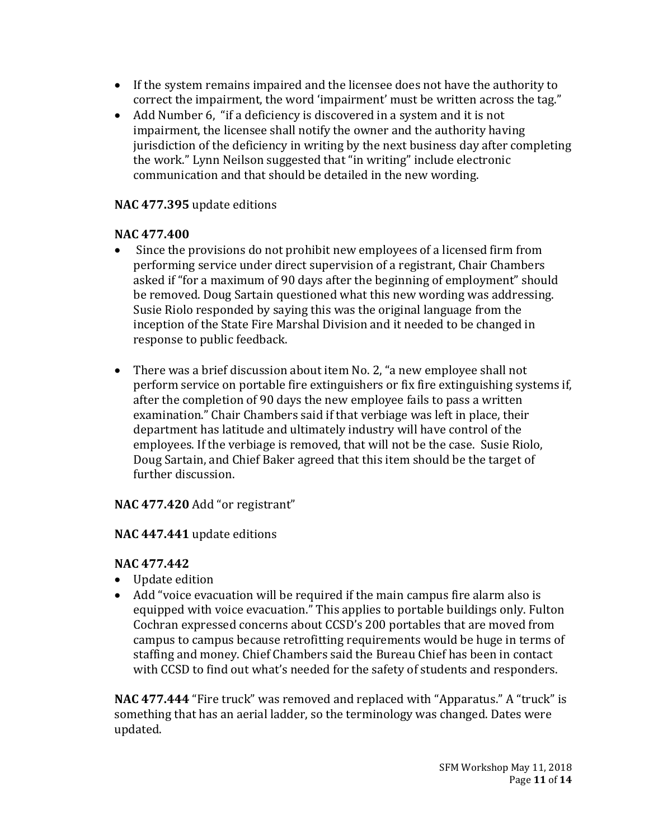- If the system remains impaired and the licensee does not have the authority to correct the impairment, the word 'impairment' must be written across the tag."
- Add Number 6, "if a deficiency is discovered in a system and it is not impairment, the licensee shall notify the owner and the authority having jurisdiction of the deficiency in writing by the next business day after completing the work." Lynn Neilson suggested that "in writing" include electronic communication and that should be detailed in the new wording.

# **NAC 477.395** update editions

# **NAC 477.400**

- Since the provisions do not prohibit new employees of a licensed firm from performing service under direct supervision of a registrant, Chair Chambers asked if "for a maximum of 90 days after the beginning of employment" should be removed. Doug Sartain questioned what this new wording was addressing. Susie Riolo responded by saying this was the original language from the inception of the State Fire Marshal Division and it needed to be changed in response to public feedback.
- There was a brief discussion about item No. 2, "a new employee shall not perform service on portable fire extinguishers or fix fire extinguishing systems if, after the completion of 90 days the new employee fails to pass a written examination." Chair Chambers said if that verbiage was left in place, their department has latitude and ultimately industry will have control of the employees. If the verbiage is removed, that will not be the case. Susie Riolo, Doug Sartain, and Chief Baker agreed that this item should be the target of further discussion.

**NAC 477.420** Add "or registrant"

# **NAC 447.441** update editions

# **NAC 477.442**

- Update edition
- Add "voice evacuation will be required if the main campus fire alarm also is equipped with voice evacuation." This applies to portable buildings only. Fulton Cochran expressed concerns about CCSD's 200 portables that are moved from campus to campus because retrofitting requirements would be huge in terms of staffing and money. Chief Chambers said the Bureau Chief has been in contact with CCSD to find out what's needed for the safety of students and responders.

**NAC 477.444** "Fire truck" was removed and replaced with "Apparatus." A "truck" is something that has an aerial ladder, so the terminology was changed. Dates were updated.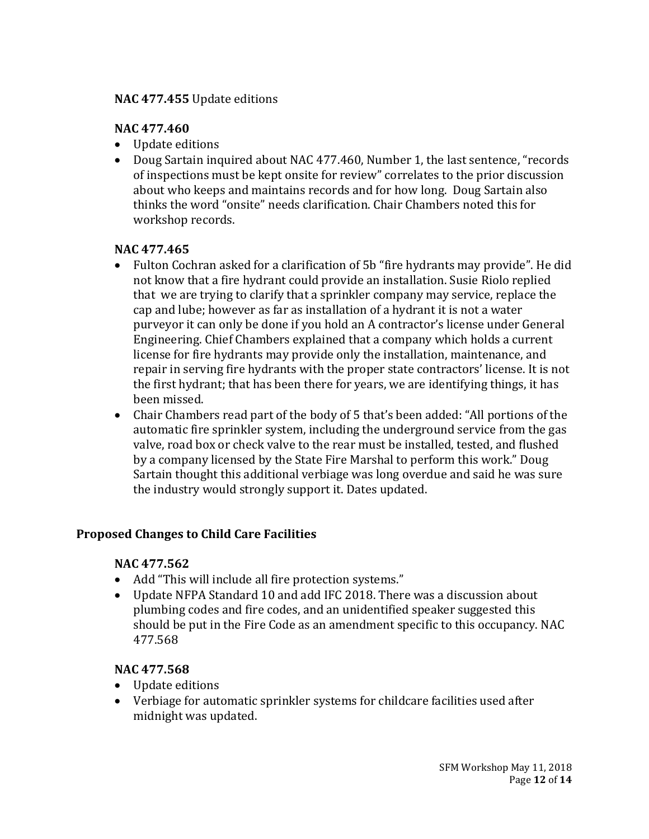## **NAC 477.455** Update editions

# **NAC 477.460**

- Update editions
- Doug Sartain inquired about NAC 477.460, Number 1, the last sentence, "records of inspections must be kept onsite for review" correlates to the prior discussion about who keeps and maintains records and for how long. Doug Sartain also thinks the word "onsite" needs clarification. Chair Chambers noted this for workshop records.

#### **NAC 477.465**

- Fulton Cochran asked for a clarification of 5b "fire hydrants may provide". He did not know that a fire hydrant could provide an installation. Susie Riolo replied that we are trying to clarify that a sprinkler company may service, replace the cap and lube; however as far as installation of a hydrant it is not a water purveyor it can only be done if you hold an A contractor's license under General Engineering. Chief Chambers explained that a company which holds a current license for fire hydrants may provide only the installation, maintenance, and repair in serving fire hydrants with the proper state contractors' license. It is not the first hydrant; that has been there for years, we are identifying things, it has been missed.
- Chair Chambers read part of the body of 5 that's been added: "All portions of the automatic fire sprinkler system, including the underground service from the gas valve, road box or check valve to the rear must be installed, tested, and flushed by a company licensed by the State Fire Marshal to perform this work." Doug Sartain thought this additional verbiage was long overdue and said he was sure the industry would strongly support it. Dates updated.

# **Proposed Changes to Child Care Facilities**

#### **NAC 477.562**

- Add "This will include all fire protection systems."
- Update NFPA Standard 10 and add IFC 2018. There was a discussion about plumbing codes and fire codes, and an unidentified speaker suggested this should be put in the Fire Code as an amendment specific to this occupancy. NAC 477.568

#### **NAC 477.568**

- Update editions
- Verbiage for automatic sprinkler systems for childcare facilities used after midnight was updated.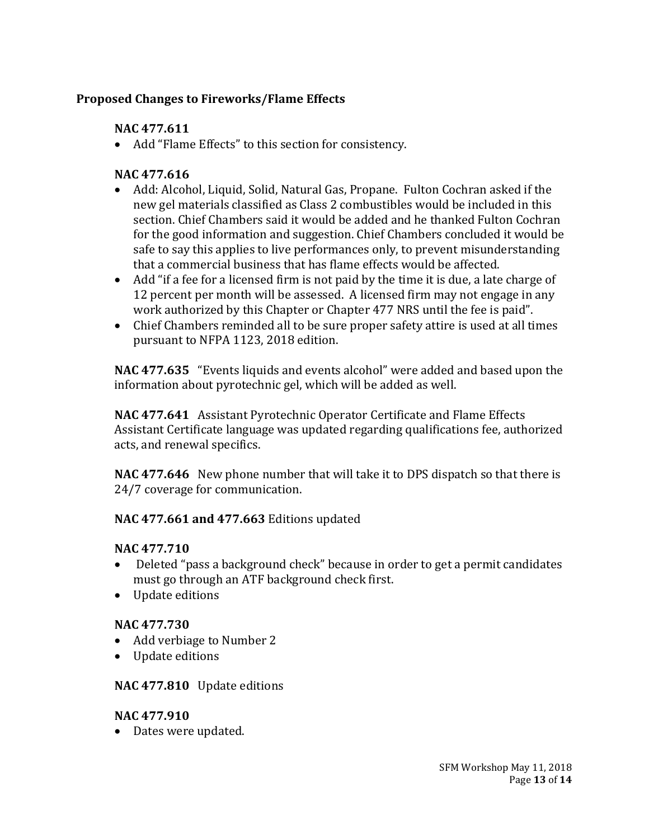# **Proposed Changes to Fireworks/Flame Effects**

# **NAC 477.611**

• Add "Flame Effects" to this section for consistency.

# **NAC 477.616**

- Add: Alcohol, Liquid, Solid, Natural Gas, Propane. Fulton Cochran asked if the new gel materials classified as Class 2 combustibles would be included in this section. Chief Chambers said it would be added and he thanked Fulton Cochran for the good information and suggestion. Chief Chambers concluded it would be safe to say this applies to live performances only, to prevent misunderstanding that a commercial business that has flame effects would be affected.
- Add "if a fee for a licensed firm is not paid by the time it is due, a late charge of 12 percent per month will be assessed. A licensed firm may not engage in any work authorized by this Chapter or Chapter 477 NRS until the fee is paid".
- Chief Chambers reminded all to be sure proper safety attire is used at all times pursuant to NFPA 1123, 2018 edition.

**NAC 477.635** "Events liquids and events alcohol" were added and based upon the information about pyrotechnic gel, which will be added as well.

**NAC 477.641** Assistant Pyrotechnic Operator Certificate and Flame Effects Assistant Certificate language was updated regarding qualifications fee, authorized acts, and renewal specifics.

**NAC 477.646** New phone number that will take it to DPS dispatch so that there is 24/7 coverage for communication.

# **NAC 477.661 and 477.663** Editions updated

# **NAC 477.710**

- Deleted "pass a background check" because in order to get a permit candidates must go through an ATF background check first.
- Update editions

# **NAC 477.730**

- Add verbiage to Number 2
- Update editions

# **NAC 477.810** Update editions

# **NAC 477.910**

• Dates were updated.